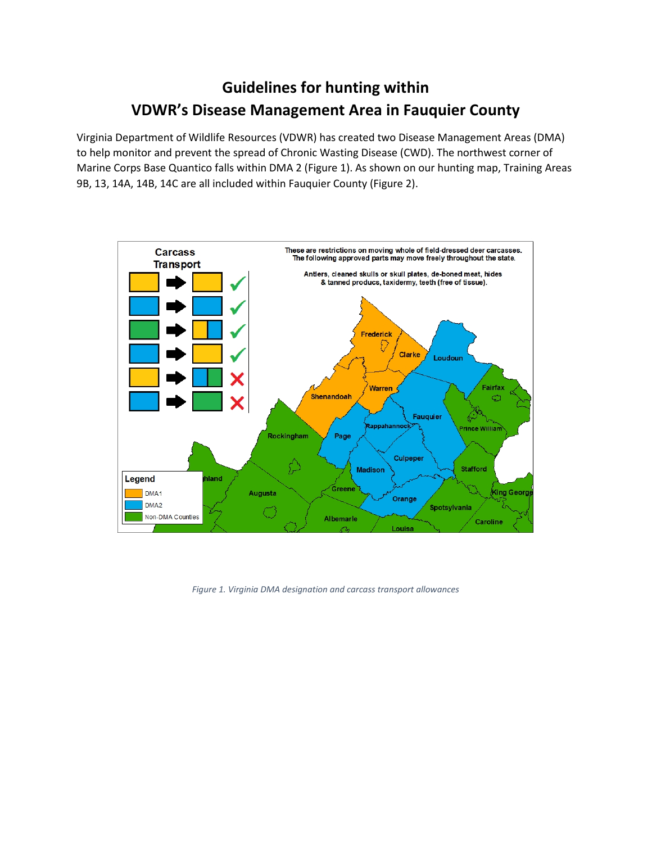## **Guidelines for hunting within VDWR's Disease Management Area in Fauquier County**

Virginia Department of Wildlife Resources (VDWR) has created two Disease Management Areas (DMA) to help monitor and prevent the spread of Chronic Wasting Disease (CWD). The northwest corner of Marine Corps Base Quantico falls within DMA 2 (Figure 1). As shown on our hunting map, Training Areas 9B, 13, 14A, 14B, 14C are all included within Fauquier County (Figure 2).



*Figure 1. Virginia DMA designation and carcass transport allowances*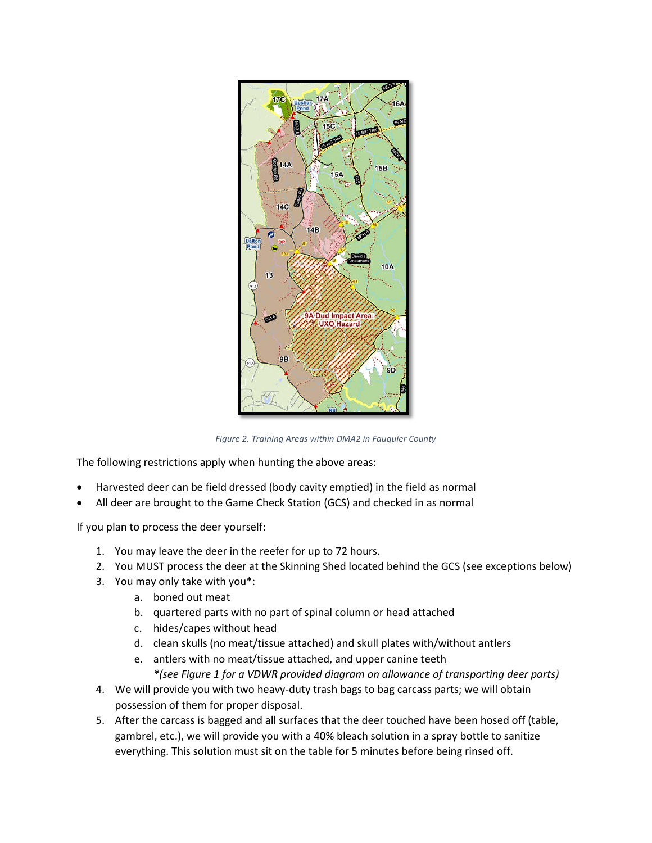

*Figure 2. Training Areas within DMA2 in Fauquier County*

The following restrictions apply when hunting the above areas:

- Harvested deer can be field dressed (body cavity emptied) in the field as normal
- All deer are brought to the Game Check Station (GCS) and checked in as normal

If you plan to process the deer yourself:

- 1. You may leave the deer in the reefer for up to 72 hours.
- 2. You MUST process the deer at the Skinning Shed located behind the GCS (see exceptions below)
- 3. You may only take with you\*:
	- a. boned out meat
	- b. quartered parts with no part of spinal column or head attached
	- c. hides/capes without head
	- d. clean skulls (no meat/tissue attached) and skull plates with/without antlers
	- e. antlers with no meat/tissue attached, and upper canine teeth *\*(see Figure 1 for a VDWR provided diagram on allowance of transporting deer parts)*
- 4. We will provide you with two heavy-duty trash bags to bag carcass parts; we will obtain possession of them for proper disposal.
- 5. After the carcass is bagged and all surfaces that the deer touched have been hosed off (table, gambrel, etc.), we will provide you with a 40% bleach solution in a spray bottle to sanitize everything. This solution must sit on the table for 5 minutes before being rinsed off.